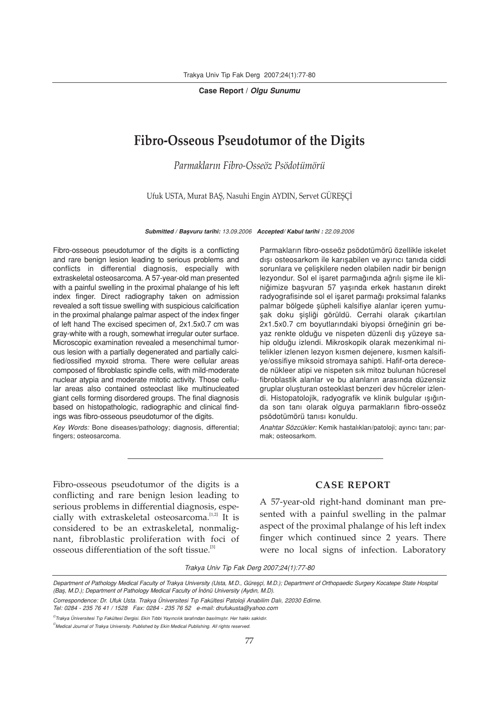Case Report / Olgu Sunumu

## Fibro-Osseous Pseudotumor of the Digits

Parmakların Fihro-Osseöz Psödotümörü

Ufuk USTA, Murat BAS, Nasuhi Engin AYDIN, Servet GÜRESCİ

Submitted / Başvuru tarihi: 13.09.2006 Accepted/ Kabul tarihi : 22.09.2006

Fibro-osseous pseudotumor of the digits is a conflicting and rare benign lesion leading to serious problems and conflicts in differential diagnosis, especially with extraskeletal osteosarcoma. A 57-year-old man presented with a painful swelling in the proximal phalange of his left index finger. Direct radiography taken on admission revealed a soft tissue swelling with suspicious calcification in the proximal phalange palmar aspect of the index finger of left hand The excised specimen of, 2x1.5x0.7 cm was gray-white with a rough, somewhat irregular outer surface. Microscopic examination revealed a mesenchimal tumorous lesion with a partially degenerated and partially calcified/ossified myxoid stroma. There were cellular areas composed of fibroblastic spindle cells, with mild-moderate nuclear atypia and moderate mitotic activity. Those cellular areas also contained osteoclast like multinucleated giant cells forming disordered groups. The final diagnosis based on histopathologic, radiographic and clinical findings was fibro-osseous pseudotumor of the digits.

Key Words: Bone diseases/pathology; diagnosis, differential; fingers; osteosarcoma.

Parmakların fibro-osseöz psödotümörü özellikle iskelet dışı osteosarkom ile karışabilen ve ayırıcı tanıda ciddi sorunlara ve çelişkilere neden olabilen nadir bir benign lezyondur. Sol el işaret parmağında ağrılı şişme ile kliniğimize başvuran 57 yaşında erkek hastanın direkt radyografisinde sol el işaret parmağı proksimal falanks palmar bölgede süpheli kalsifiye alanlar içeren yumuşak doku şişliği görüldü. Cerrahi olarak çıkartılan 2x1.5x0.7 cm boyutlarındaki biyopsi örneğinin gri beyaz renkte olduğu ve nispeten düzenli dış yüzeye sahip olduğu izlendi. Mikroskopik olarak mezenkimal nitelikler izlenen lezyon kısmen dejenere, kısmen kalsifiye/ossifiye miksoid stromaya sahipti. Hafif-orta derecede nükleer atipi ve nispeten sık mitoz bulunan hücresel fibroblastik alanlar ve bu alanların arasında düzensiz gruplar oluşturan osteoklast benzeri dev hücreler izlendi. Histopatolojik, radyografik ve klinik bulgular ışığında son tanı olarak olguya parmakların fibro-osseöz psödotümörü tanısı konuldu.

Anahtar Sözcükler: Kemik hastalıkları/patoloji; ayırıcı tanı; parmak; osteosarkom.

Fibro-osseous pseudotumor of the digits is a conflicting and rare benign lesion leading to serious problems in differential diagnosis, especially with extraskeletal osteosarcoma.<sup>[1,2]</sup> It is considered to be an extraskeletal, nonmalignant, fibroblastic proliferation with foci of osseous differentiation of the soft tissue.<sup>[3]</sup>

## CASE REPORT

A 57-year-old right-hand dominant man presented with a painful swelling in the palmar aspect of the proximal phalange of his left index finger which continued since 2 years. There were no local signs of infection. Laboratory

Trakya Univ Tip Fak Derg 2007;24(1):77-80

Department of Pathology Medical Faculty of Trakya University (Usta, M.D., Güreşçi, M.D.); Department of Orthopaedic Surgery Kocatepe State Hospital (Bas, M.D.); Department of Pathology Medical Faculty of İnönü University (Aydın, M.D).

Correspondence: Dr. Ufuk Usta. Trakya Üniversitesi Tıp Fakültesi Patoloji Anabilim Dalı, 22030 Edirne. Tel: 0284 - 235 76 41 / 1528 Fax: 0284 - 235 76 52 e-mail: drufukusta@yahoo.com

 $^\circ$ Trakya Üniversitesi Tıp Fakültesi Dergisi. Ekin Tıbbi Yayıncılık tarafından basılmıştır. Her hakkı saklıdır.

<sup>©</sup> Medical Journal of Trakya University. Published by Ekin Medical Publishing. All rights reserved.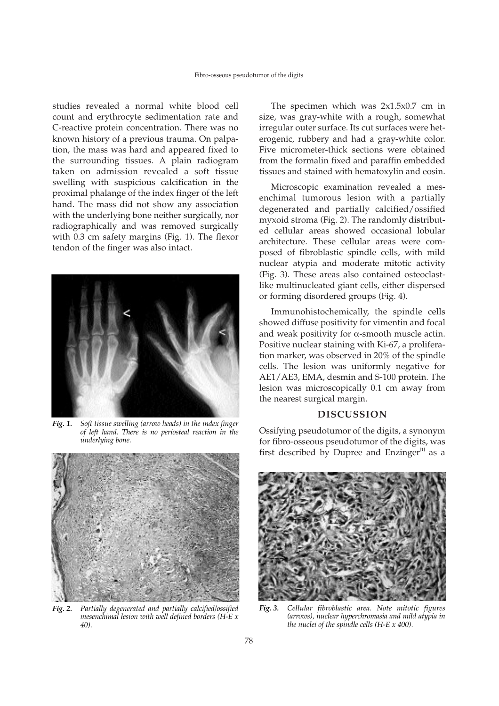studies revealed a normal white blood cell count and erythrocyte sedimentation rate and C-reactive protein concentration. There was no known history of a previous trauma. On palpation, the mass was hard and appeared fixed to the surrounding tissues. A plain radiogram taken on admission revealed a soft tissue swelling with suspicious calcification in the proximal phalange of the index finger of the left hand. The mass did not show any association with the underlying bone neither surgically, nor radiographically and was removed surgically with 0.3 cm safety margins (Fig. 1). The flexor tendon of the finger was also intact.



Fig. 1. Soft tissue swelling (arrow heads) in the index finger of left hand. There is no periosteal reaction in the underlying bone.



Fig. 2. Partially degenerated and partially calcified/ossified mesenchimal lesion with well defined borders ( $H$ -E x 40).

The specimen which was 2x1.5x0.7 cm in size, was gray-white with a rough, somewhat irregular outer surface. Its cut surfaces were heterogenic, rubbery and had a gray-white color. Five micrometer-thick sections were obtained from the formalin fixed and paraffin embedded tissues and stained with hematoxylin and eosin.

Microscopic examination revealed a mesenchimal tumorous lesion with a partially degenerated and partially calcified/ossified myxoid stroma (Fig. 2). The randomly distributed cellular areas showed occasional lobular architecture. These cellular areas were composed of fibroblastic spindle cells, with mild nuclear atypia and moderate mitotic activity (Fig. 3). These areas also contained osteoclastlike multinucleated giant cells, either dispersed or forming disordered groups (Fig. 4).

Immunohistochemically, the spindle cells showed diffuse positivity for vimentin and focal and weak positivity for  $\alpha$ -smooth muscle actin. Positive nuclear staining with Ki-67, a proliferation marker, was observed in 20% of the spindle cells. The lesion was uniformly negative for AE1/AE3, EMA, desmin and S-100 protein. The lesion was microscopically 0.1 cm away from the nearest surgical margin.

## DISCUSSION

Ossifying pseudotumor of the digits, a synonym for fibro-osseous pseudotumor of the digits, was first described by Dupree and Enzinger $[1]$  as a



Fig. 3. Cellular fibroblastic area. Note mitotic figures (arrows), nuclear hyperchromasia and mild atypia in the nuclei of the spindle cells  $(H-E \times 400)$ .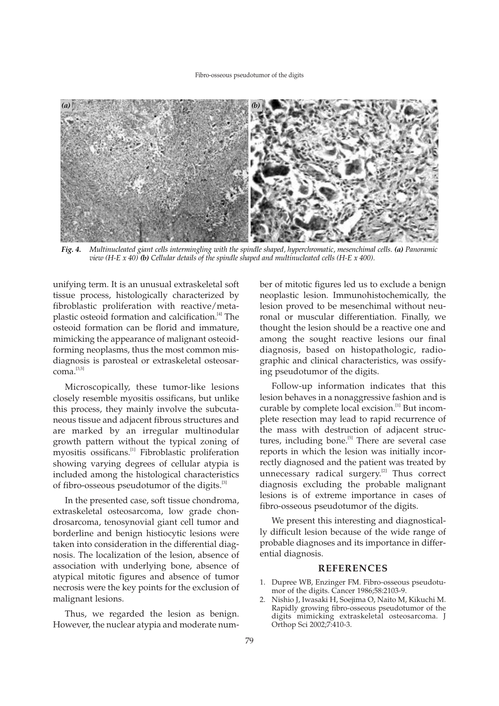

Fig. 4. Multinucleated giant cells intermingling with the spindle shaped, hyperchromatic, mesenchimal cells. (a) Panoramic view  $(H-E x 40)$  (b) Cellular details of the spindle shaped and multinucleated cells  $(H-E x 400)$ .

unifying term. It is an unusual extraskeletal soft tissue process, histologically characterized by fibroblastic proliferation with reactive/metaplastic osteoid formation and calcification.<sup>[4]</sup> The osteoid formation can be florid and immature, mimicking the appearance of malignant osteoidforming neoplasms, thus the most common misdiagnosis is parosteal or extraskeletal osteosar $coma.$ <sup>[3,5]</sup>

Microscopically, these tumor-like lesions closely resemble myositis ossificans, but unlike this process, they mainly involve the subcutaneous tissue and adjacent fibrous structures and are marked by an irregular multinodular growth pattern without the typical zoning of myositis ossificans.<sup>[1]</sup> Fibroblastic proliferation showing varying degrees of cellular atypia is included among the histological characteristics of fibro-osseous pseudotumor of the digits.<sup>[3]</sup>

In the presented case, soft tissue chondroma, extraskeletal osteosarcoma, low grade chondrosarcoma, tenosynovial giant cell tumor and borderline and benign histiocytic lesions were taken into consideration in the differential diagnosis. The localization of the lesion, absence of association with underlying bone, absence of atypical mitotic figures and absence of tumor necrosis were the key points for the exclusion of malignant lesions.

Thus, we regarded the lesion as benign. However, the nuclear atypia and moderate number of mitotic figures led us to exclude a benign neoplastic lesion. Immunohistochemically, the lesion proved to be mesenchimal without neuronal or muscular differentiation. Finally, we thought the lesion should be a reactive one and among the sought reactive lesions our final diagnosis, based on histopathologic, radiographic and clinical characteristics, was ossifying pseudotumor of the digits.

Follow-up information indicates that this lesion behaves in a nonaggressive fashion and is curable by complete local excision.<sup>[1]</sup> But incomplete resection may lead to rapid recurrence of the mass with destruction of adjacent structures, including bone.<sup>[5]</sup> There are several case reports in which the lesion was initially incorrectly diagnosed and the patient was treated by unnecessary radical surgery.<sup>[2]</sup> Thus correct diagnosis excluding the probable malignant lesions is of extreme importance in cases of fibro-osseous pseudotumor of the digits.

We present this interesting and diagnostically difficult lesion because of the wide range of probable diagnoses and its importance in differential diagnosis.

## REFERENCES

- 1. Dupree WB, Enzinger FM. Fibro-osseous pseudotumor of the digits. Cancer 1986;58:2103-9.
- 2. Nishio J, Iwasaki H, Soejima O, Naito M, Kikuchi M. Rapidly growing fibro-osseous pseudotumor of the digits mimicking extraskeletal osteosarcoma. J Orthop Sci 2002;7:410-3.